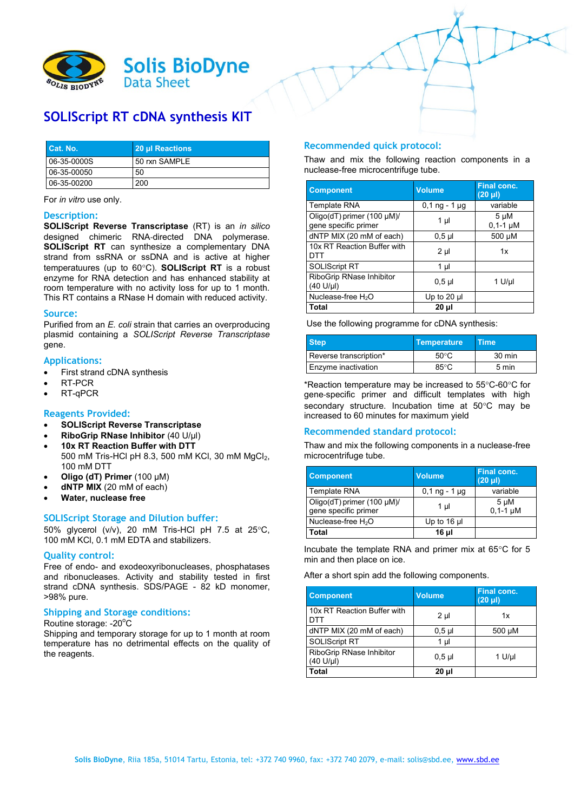

# **SOLIScript RT cDNA synthesis KIT**

| Cat. No.    | 20 µl Reactions |
|-------------|-----------------|
| 06-35-0000S | 50 rxn SAMPLE   |
| 06-35-00050 | 50              |
| 06-35-00200 | 200             |

For *in vitro* use only.

#### **Description:**

**SOLIScript Reverse Transcriptase** (RT) is an *in silico*  designed chimeric RNA‐directed DNA polymerase. **SOLIScript RT** can synthesize a complementary DNA strand from ssRNA or ssDNA and is active at higher temperatuures (up to 60°C). **SOLIScript RT** is a robust enzyme for RNA detection and has enhanced stability at room temperature with no activity loss for up to 1 month. This RT contains a RNase H domain with reduced activity.

#### **Source:**

Purified from an *E. coli* strain that carries an overproducing plasmid containing a *SOLIScript Reverse Transcriptase* gene.

#### **Applications:**

- First strand cDNA synthesis
- RT-PCR
- RT-qPCR

# **Reagents Provided:**

- **SOLIScript Reverse Transcriptase**
- **RiboGrip RNase Inhibitor** (40 U/µl)
- **10x RT Reaction Buffer with DTT** 500 mM Tris-HCl pH 8.3, 500 mM KCl, 30 mM MgCl<sub>2</sub>, 100 mM DTT
- **Oligo (dT) Primer** (100 µM)
- **dNTP MIX** (20 mM of each)
- **Water, nuclease free**

# **SOLIScript Storage and Dilution buffer:**

50% glycerol (v/v), 20 mM Tris-HCl pH 7.5 at 25 $^{\circ}$ C, 100 mM KCl, 0.1 mM EDTA and stabilizers.

#### **Quality control:**

Free of endo- and exodeoxyribonucleases, phosphatases and ribonucleases. Activity and stability tested in first strand cDNA synthesis. SDS/PAGE - 82 kD monomer, >98% pure.

#### **Shipping and Storage conditions:**

# Routine storage: -20°C

Shipping and temporary storage for up to 1 month at room temperature has no detrimental effects on the quality of the reagents.

# **Recommended quick protocol:**

Thaw and mix the following reaction components in a nuclease-free microcentrifuge tube.

| <b>Component</b>                                        | <b>Volume</b>   | <b>Final conc.</b><br>$(20 \text{ }\mu\text{I})$ |
|---------------------------------------------------------|-----------------|--------------------------------------------------|
| <b>Template RNA</b>                                     | $0,1$ ng - 1 µg | variable                                         |
| Oligo(dT) primer $(100 \mu M)/$<br>gene specific primer | $1 \mu$         | 5 µM<br>$0.1 - 1 \mu M$                          |
| dNTP MIX (20 mM of each)                                | $0,5$ $\mu$     | 500 µM                                           |
| 10x RT Reaction Buffer with<br>DTT                      | $2 \mu$         | 1x                                               |
| <b>SOLIScript RT</b>                                    | 1 µl            |                                                  |
| RiboGrip RNase Inhibitor<br>$(40 \text{ U/}\mu l)$      | $0,5$ µl        | 1 U/µl                                           |
| Nuclease-free $H_2O$                                    | Up to 20 $\mu$  |                                                  |
| <b>Total</b>                                            | 20 µl           |                                                  |

Use the following programme for cDNA synthesis:

| <b>Step</b>                | <b>Temperature</b> | <b>Time</b> |
|----------------------------|--------------------|-------------|
| Reverse transcription*     | $50^{\circ}$ C     | 30 min      |
| <b>Enzyme inactivation</b> | 85°C               | 5 min       |

\*Reaction temperature may be increased to 55°C-60°C for gene‐specific primer and difficult templates with high secondary structure. Incubation time at 50°C may be increased to 60 minutes for maximum yield

# **Recommended standard protocol:**

Thaw and mix the following components in a nuclease-free microcentrifuge tube.

| <b>Component</b>                                        | <b>Volume</b>   | <b>Final conc.</b><br>$(20 \text{ }\mu\text{I})$ |
|---------------------------------------------------------|-----------------|--------------------------------------------------|
| <b>Template RNA</b>                                     | $0,1$ ng - 1 µg | variable                                         |
| Oligo(dT) primer $(100 \mu M)/$<br>gene specific primer | 1 µl            | $5 \mu M$<br>$0,1-1, \mu M$                      |
| Nuclease-free $H_2O$                                    | Up to $16$ µ    |                                                  |
| Total                                                   | 16 µl           |                                                  |

Incubate the template RNA and primer mix at  $65^{\circ}$ C for 5 min and then place on ice.

After a short spin add the following components.

| <b>Component</b>                                         | <b>Volume</b> | Final conc.<br>$(20 \mu l)$ |
|----------------------------------------------------------|---------------|-----------------------------|
| 10x RT Reaction Buffer with<br>DTT                       | $2 \mu$       | 1x                          |
| dNTP MIX (20 mM of each)                                 | $0.5$ µ       | 500 µM                      |
| <b>SOLIScript RT</b>                                     | 1 µl          |                             |
| RiboGrip RNase Inhibitor<br>$(40 \text{ U/}\mu\text{I})$ | $0,5$ µ       | $1$ U/µl                    |
| Total                                                    | $20 \mu$      |                             |